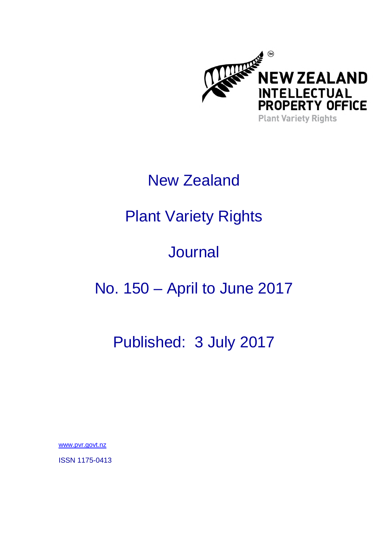

## New Zealand

# Plant Variety Rights

# **Journal**

# No. 150 – April to June 2017

### Published: 3 July 2017

www.pvr.govt.nz

ISSN 1175-0413